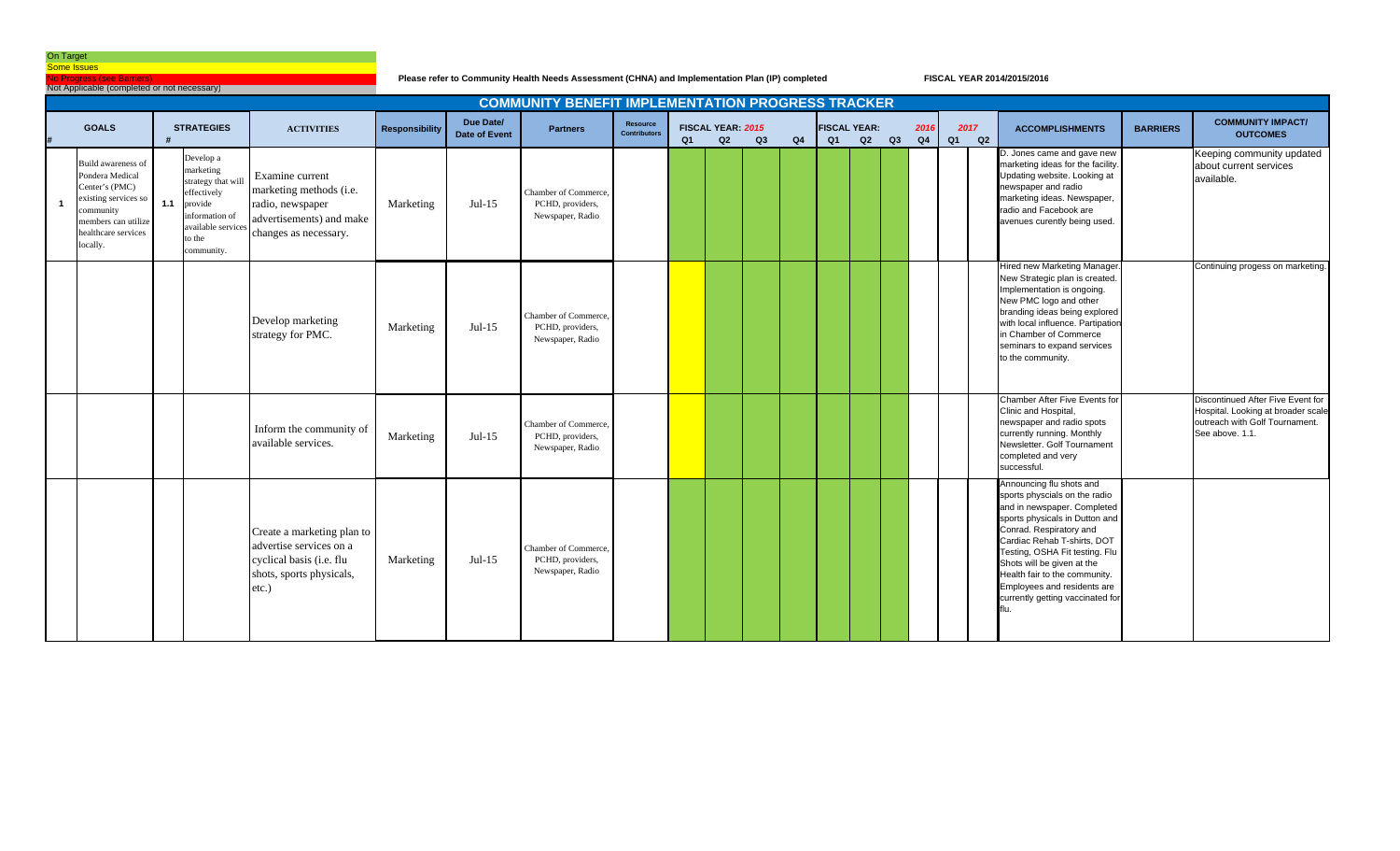No Progress (see Barriers)

Not Applicable (completed or not necessary)

**Please refer to Community Health Needs Assessment (CHNA) and Implementation Plan (IP) completed**

|              |                                                                                                                                                        |     |                                                                                                                                     |                                                                                                                        |                       |                                   | <b>COMMUNITY BENEFIT IMPLEMENTATION PROGRESS TRACKER</b>     |                                 |    |                         |    |    |    |                           |    |                        |            |                                                                                                                                                                                                                                                                                                                                                                 |                 |                                                                                                                              |
|--------------|--------------------------------------------------------------------------------------------------------------------------------------------------------|-----|-------------------------------------------------------------------------------------------------------------------------------------|------------------------------------------------------------------------------------------------------------------------|-----------------------|-----------------------------------|--------------------------------------------------------------|---------------------------------|----|-------------------------|----|----|----|---------------------------|----|------------------------|------------|-----------------------------------------------------------------------------------------------------------------------------------------------------------------------------------------------------------------------------------------------------------------------------------------------------------------------------------------------------------------|-----------------|------------------------------------------------------------------------------------------------------------------------------|
|              | <b>GOALS</b>                                                                                                                                           |     | <b>STRATEGIES</b>                                                                                                                   | <b>ACTIVITIES</b>                                                                                                      | <b>Responsibility</b> | Due Date/<br><b>Date of Event</b> | <b>Partners</b>                                              | Resource<br><b>Contributors</b> | Q1 | FISCAL YEAR: 2015<br>Q2 | Q3 | Q4 | Q1 | <b>FISCAL YEAR:</b><br>Q2 | Q3 | 2016<br>Q <sub>4</sub> | 2017<br>Q1 | <b>ACCOMPLISHMENTS</b><br>Q2                                                                                                                                                                                                                                                                                                                                    | <b>BARRIERS</b> | <b>COMMUNITY IMPACT/</b><br><b>OUTCOMES</b>                                                                                  |
| $\mathbf{1}$ | Build awareness of<br>Pondera Medical<br>Center's (PMC)<br>existing services so<br>community<br>members can utilize<br>healthcare services<br>locally. | 1.1 | Develop a<br>marketing<br>strategy that will<br>effectively<br>provide<br>nformation of<br>vailable services<br>o the<br>community. | Examine current<br>marketing methods (i.e.<br>radio, newspaper<br>advertisements) and make<br>changes as necessary.    | Marketing             | $Jul-15$                          | Chamber of Commerce.<br>PCHD, providers,<br>Newspaper, Radio |                                 |    |                         |    |    |    |                           |    |                        |            | D. Jones came and gave new<br>marketing ideas for the facility.<br>Updating website. Looking at<br>newspaper and radio<br>marketing ideas. Newspaper,<br>radio and Facebook are<br>avenues curently being used.                                                                                                                                                 |                 | Keeping community updated<br>about current services<br>available.                                                            |
|              |                                                                                                                                                        |     |                                                                                                                                     | Develop marketing<br>strategy for PMC.                                                                                 | Marketing             | $Jul-15$                          | Chamber of Commerce.<br>PCHD, providers,<br>Newspaper, Radio |                                 |    |                         |    |    |    |                           |    |                        |            | Hired new Marketing Manager.<br>New Strategic plan is created.<br>Implementation is ongoing.<br>New PMC logo and other<br>branding ideas being explored<br>with local influence. Partipation<br>in Chamber of Commerce<br>seminars to expand services<br>to the community.                                                                                      |                 | Continuing progess on marketing.                                                                                             |
|              |                                                                                                                                                        |     |                                                                                                                                     | Inform the community of<br>available services.                                                                         | Marketing             | $Jul-15$                          | Chamber of Commerce,<br>PCHD, providers,<br>Newspaper, Radio |                                 |    |                         |    |    |    |                           |    |                        |            | Chamber After Five Events for<br>Clinic and Hospital,<br>newspaper and radio spots<br>currently running. Monthly<br>Newsletter. Golf Tournament<br>completed and very<br>successful.                                                                                                                                                                            |                 | Discontinued After Five Event for<br>Hospital. Looking at broader scale<br>outreach with Golf Tournament.<br>See above, 1.1. |
|              |                                                                                                                                                        |     |                                                                                                                                     | Create a marketing plan to<br>advertise services on a<br>cyclical basis (i.e. flu<br>shots, sports physicals,<br>etc.) | Marketing             | $Jul-15$                          | Chamber of Commerce,<br>PCHD, providers,<br>Newspaper, Radio |                                 |    |                         |    |    |    |                           |    |                        |            | Announcing flu shots and<br>sports physcials on the radio<br>and in newspaper. Completed<br>sports physicals in Dutton and<br>Conrad. Respiratory and<br>Cardiac Rehab T-shirts, DOT<br>Testing, OSHA Fit testing. Flu<br>Shots will be given at the<br>Health fair to the community.<br>Employees and residents are<br>currently getting vaccinated for<br>'n. |                 |                                                                                                                              |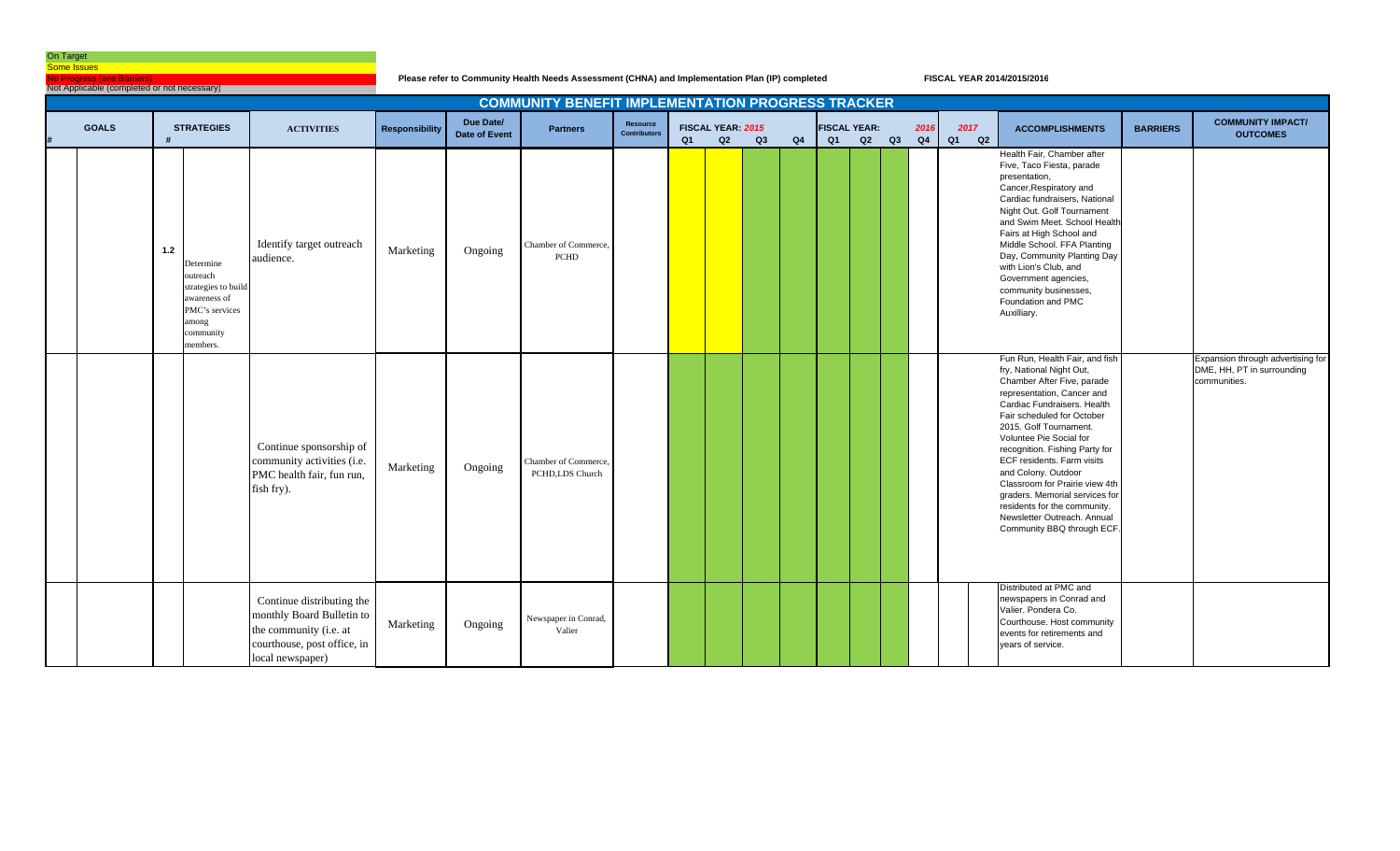<mark>No Progress (see Barriers)</mark><br>Not Applicable (completed or not necessary)

**Please refer to Community Health Needs Assessment (CHNA) and Implementation Plan (IP) completed**

|              |       |                                                                                                                  |                                                                                                                                     |                       |                            | <b>COMMUNITY BENEFIT IMPLEMENTATION PROGRESS TRACKER</b> |                                 |    |                         |    |    |    |                           |    |            |                  |                                                                                                                                                                                                                                                                                                                                                                                                                                                                                                  |                 |                                                                                 |
|--------------|-------|------------------------------------------------------------------------------------------------------------------|-------------------------------------------------------------------------------------------------------------------------------------|-----------------------|----------------------------|----------------------------------------------------------|---------------------------------|----|-------------------------|----|----|----|---------------------------|----|------------|------------------|--------------------------------------------------------------------------------------------------------------------------------------------------------------------------------------------------------------------------------------------------------------------------------------------------------------------------------------------------------------------------------------------------------------------------------------------------------------------------------------------------|-----------------|---------------------------------------------------------------------------------|
| <b>GOALS</b> |       | <b>STRATEGIES</b>                                                                                                | <b>ACTIVITIES</b>                                                                                                                   | <b>Responsibility</b> | Due Date/<br>Date of Event | <b>Partners</b>                                          | Resource<br><b>Contributors</b> | Q1 | FISCAL YEAR: 2015<br>Q2 | Q3 | Q4 | Q1 | <b>FISCAL YEAR:</b><br>Q2 | Q3 | 2016<br>Q4 | 2017<br>Q1<br>Q2 | <b>ACCOMPLISHMENTS</b>                                                                                                                                                                                                                                                                                                                                                                                                                                                                           | <b>BARRIERS</b> | <b>COMMUNITY IMPACT/</b><br><b>OUTCOMES</b>                                     |
|              | $1.2$ | Determine<br>outreach<br>strategies to build<br>awareness of<br>PMC's services<br>among<br>community<br>members. | Identify target outreach<br>audience.                                                                                               | Marketing             | Ongoing                    | Chamber of Commerce,<br><b>PCHD</b>                      |                                 |    |                         |    |    |    |                           |    |            |                  | Health Fair, Chamber after<br>Five, Taco Fiesta, parade<br>presentation,<br>Cancer, Respiratory and<br>Cardiac fundraisers, National<br>Night Out. Golf Tournament<br>and Swim Meet. School Health<br>Fairs at High School and<br>Middle School. FFA Planting<br>Day, Community Planting Day<br>with Lion's Club, and<br>Government agencies,<br>community businesses,<br>Foundation and PMC<br>Auxilliary.                                                                                      |                 |                                                                                 |
|              |       |                                                                                                                  | Continue sponsorship of<br>community activities (i.e.<br>PMC health fair, fun run,<br>fish fry).                                    | Marketing             | Ongoing                    | Chamber of Commerce.<br>PCHD,LDS Church                  |                                 |    |                         |    |    |    |                           |    |            |                  | Fun Run, Health Fair, and fish<br>fry, National Night Out,<br>Chamber After Five, parade<br>representation, Cancer and<br>Cardiac Fundraisers. Health<br>Fair scheduled for October<br>2015. Golf Tournament.<br>Voluntee Pie Social for<br>recognition. Fishing Party for<br>ECF residents. Farm visits<br>and Colony. Outdoor<br>Classroom for Prairie view 4th<br>graders. Memorial services for<br>residents for the community.<br>Newsletter Outreach. Annual<br>Community BBQ through ECF. |                 | Expansion through advertising for<br>DME, HH, PT in surrounding<br>communities. |
|              |       |                                                                                                                  | Continue distributing the<br>monthly Board Bulletin to<br>the community (i.e. at<br>courthouse, post office, in<br>local newspaper) | Marketing             | Ongoing                    | Newspaper in Conrad,<br>Valier                           |                                 |    |                         |    |    |    |                           |    |            |                  | Distributed at PMC and<br>newspapers in Conrad and<br>Valier. Pondera Co.<br>Courthouse. Host community<br>events for retirements and<br>years of service.                                                                                                                                                                                                                                                                                                                                       |                 |                                                                                 |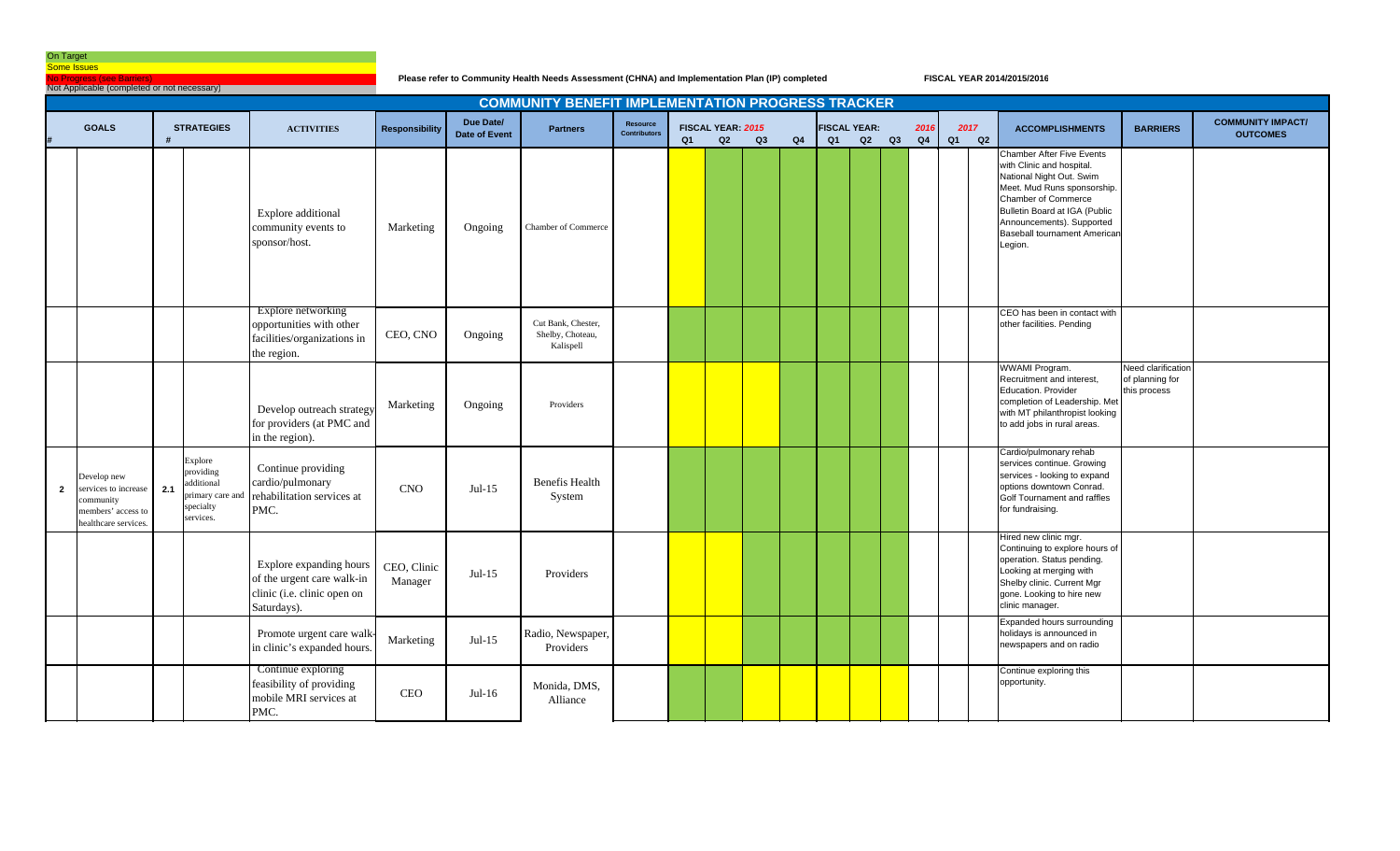**No Progress (see Barriers)** 

**Please refer to Community Health Needs Assessment (CHNA) and Implementation Plan (IP) completed**

|              | Not Applicable (completed or not necessary)                                                 |     |                                                                                 |                                                                                                     |                        |                            |                                                          |                                 |                |                         |    |    |    |                           |    |            |                  |                                                                                                                                                                                                                                                                 |                                                       |                                             |
|--------------|---------------------------------------------------------------------------------------------|-----|---------------------------------------------------------------------------------|-----------------------------------------------------------------------------------------------------|------------------------|----------------------------|----------------------------------------------------------|---------------------------------|----------------|-------------------------|----|----|----|---------------------------|----|------------|------------------|-----------------------------------------------------------------------------------------------------------------------------------------------------------------------------------------------------------------------------------------------------------------|-------------------------------------------------------|---------------------------------------------|
|              |                                                                                             |     |                                                                                 |                                                                                                     |                        |                            | <b>COMMUNITY BENEFIT IMPLEMENTATION PROGRESS TRACKER</b> |                                 |                |                         |    |    |    |                           |    |            |                  |                                                                                                                                                                                                                                                                 |                                                       |                                             |
|              | <b>GOALS</b>                                                                                |     | <b>STRATEGIES</b>                                                               | <b>ACTIVITIES</b>                                                                                   | <b>Responsibility</b>  | Due Date/<br>Date of Event | <b>Partners</b>                                          | Resource<br><b>Contributors</b> | Q <sub>1</sub> | FISCAL YEAR: 2015<br>Q2 | Q3 | Q4 | Q1 | <b>FISCAL YEAR:</b><br>Q2 | Q3 | 2016<br>Q4 | 2017<br>Q2<br>Q1 | <b>ACCOMPLISHMENTS</b>                                                                                                                                                                                                                                          | <b>BARRIERS</b>                                       | <b>COMMUNITY IMPACT/</b><br><b>OUTCOMES</b> |
|              |                                                                                             |     |                                                                                 | Explore additional<br>community events to<br>sponsor/host.                                          | Marketing              | Ongoing                    | <b>Chamber of Commerce</b>                               |                                 |                |                         |    |    |    |                           |    |            |                  | <b>Chamber After Five Events</b><br>with Clinic and hospital.<br>National Night Out. Swim<br>Meet. Mud Runs sponsorship.<br>Chamber of Commerce<br>Bulletin Board at IGA (Public<br>Announcements). Supported<br><b>Baseball tournament American</b><br>Legion. |                                                       |                                             |
|              |                                                                                             |     |                                                                                 | Explore networking<br>opportunities with other<br>facilities/organizations in<br>the region.        | CEO, CNO               | Ongoing                    | Cut Bank, Chester,<br>Shelby, Choteau,<br>Kalispell      |                                 |                |                         |    |    |    |                           |    |            |                  | CEO has been in contact with<br>other facilities. Pending                                                                                                                                                                                                       |                                                       |                                             |
|              |                                                                                             |     |                                                                                 | Develop outreach strategy<br>for providers (at PMC and<br>in the region).                           | Marketing              | Ongoing                    | Providers                                                |                                 |                |                         |    |    |    |                           |    |            |                  | <b>WWAMI Program.</b><br>Recruitment and interest,<br>Education. Provider<br>completion of Leadership. Met<br>with MT philanthropist looking<br>to add jobs in rural areas.                                                                                     | Need clarification<br>of planning for<br>this process |                                             |
| $\mathbf{2}$ | Develop new<br>ervices to increase<br>ommunity<br>members' access to<br>healthcare services | 2.1 | Explore<br>providing<br>dditional<br>primary care and<br>specialty<br>services. | Continue providing<br>cardio/pulmonary<br>rehabilitation services at<br>PMC.                        | <b>CNO</b>             | $Jul-15$                   | Benefis Health<br>System                                 |                                 |                |                         |    |    |    |                           |    |            |                  | Cardio/pulmonary rehab<br>services continue. Growing<br>services - looking to expand<br>options downtown Conrad.<br>Golf Tournament and raffles<br>for fundraising.                                                                                             |                                                       |                                             |
|              |                                                                                             |     |                                                                                 | Explore expanding hours<br>of the urgent care walk-in<br>clinic (i.e. clinic open on<br>Saturdays). | CEO, Clinic<br>Manager | $Jul-15$                   | Providers                                                |                                 |                |                         |    |    |    |                           |    |            |                  | Hired new clinic mgr.<br>Continuing to explore hours of<br>operation. Status pending.<br>Looking at merging with<br>Shelby clinic. Current Mgr<br>gone. Looking to hire new<br>clinic manager.                                                                  |                                                       |                                             |
|              |                                                                                             |     |                                                                                 | Promote urgent care walk-<br>in clinic's expanded hours.                                            | Marketing              | $Jul-15$                   | Radio, Newspaper,<br>Providers                           |                                 |                |                         |    |    |    |                           |    |            |                  | Expanded hours surrounding<br>holidays is announced in<br>newspapers and on radio                                                                                                                                                                               |                                                       |                                             |
|              |                                                                                             |     |                                                                                 | Continue exploring<br>feasibility of providing<br>mobile MRI services at<br>PMC.                    | <b>CEO</b>             | $Jul-16$                   | Monida, DMS.<br>Alliance                                 |                                 |                |                         |    |    |    |                           |    |            |                  | Continue exploring this<br>opportunity.                                                                                                                                                                                                                         |                                                       |                                             |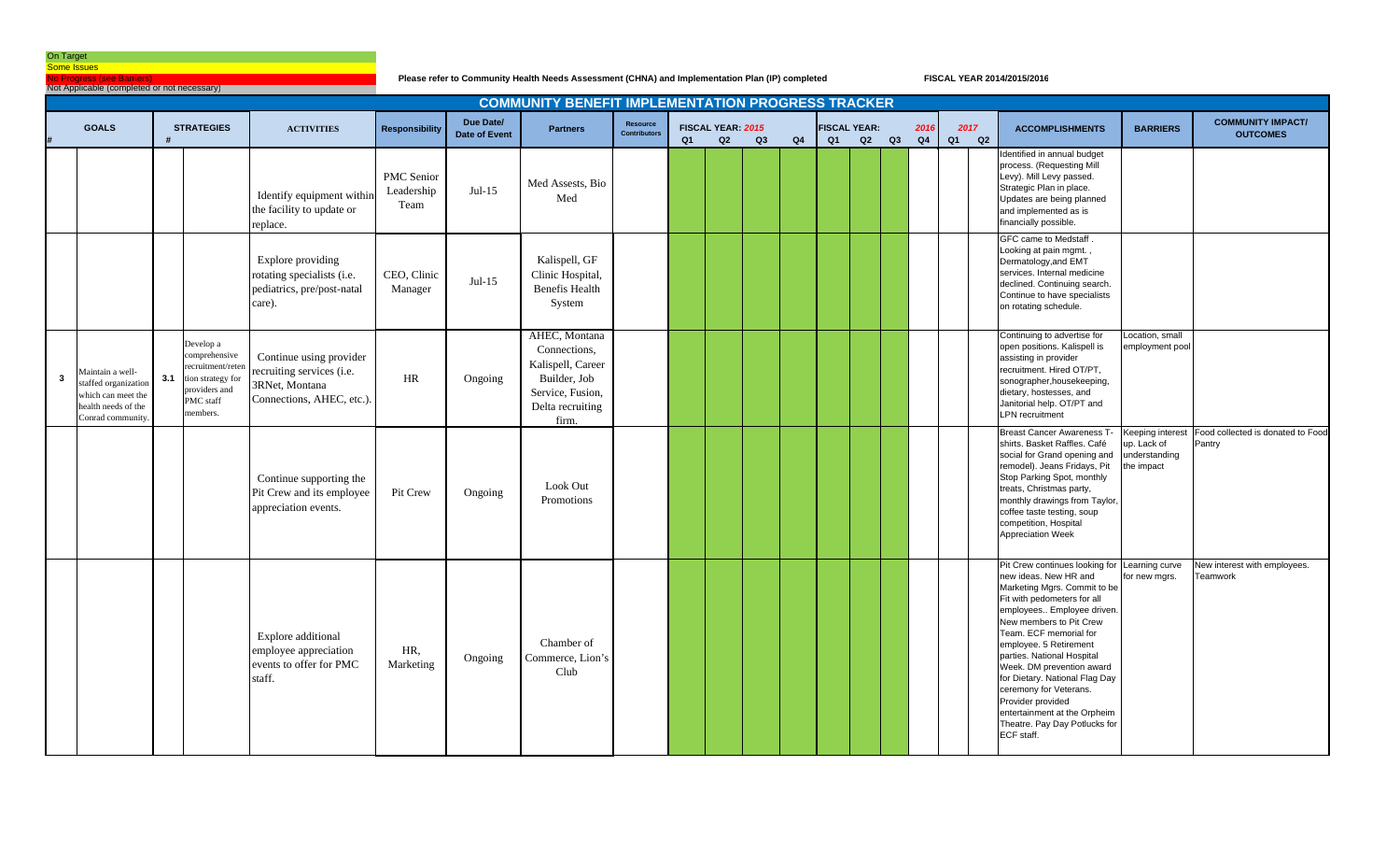**Io Progress (see Barriers**)

**Please refer to Community Health Needs Assessment (CHNA) and Implementation Plan (IP) completed**

|   | Not Applicable (completed or not necessary)                                                               |     |                                                                                                               |                                                                                                     |                                  |                                   |                                                                                                                     |                                 |    |                         |    |    |                           |    |    |            |            |                                                                                                                                                                                                                                                                                                                                                                                                                                                                              |                                                                |                                             |
|---|-----------------------------------------------------------------------------------------------------------|-----|---------------------------------------------------------------------------------------------------------------|-----------------------------------------------------------------------------------------------------|----------------------------------|-----------------------------------|---------------------------------------------------------------------------------------------------------------------|---------------------------------|----|-------------------------|----|----|---------------------------|----|----|------------|------------|------------------------------------------------------------------------------------------------------------------------------------------------------------------------------------------------------------------------------------------------------------------------------------------------------------------------------------------------------------------------------------------------------------------------------------------------------------------------------|----------------------------------------------------------------|---------------------------------------------|
|   |                                                                                                           |     |                                                                                                               |                                                                                                     |                                  |                                   | <b>COMMUNITY BENEFIT IMPLEMENTATION PROGRESS TRACKER</b>                                                            |                                 |    |                         |    |    |                           |    |    |            |            |                                                                                                                                                                                                                                                                                                                                                                                                                                                                              |                                                                |                                             |
|   | <b>GOALS</b>                                                                                              |     | <b>STRATEGIES</b>                                                                                             | <b>ACTIVITIES</b>                                                                                   | Responsibility                   | Due Date/<br><b>Date of Event</b> | <b>Partners</b>                                                                                                     | Resource<br><b>Contributors</b> | Q1 | FISCAL YEAR: 2015<br>Q2 | Q3 | Q4 | <b>FISCAL YEAR:</b><br>Q1 | Q2 | Q3 | 2016<br>Q4 | 2017<br>Q1 | <b>ACCOMPLISHMENTS</b><br>Q2                                                                                                                                                                                                                                                                                                                                                                                                                                                 | <b>BARRIERS</b>                                                | <b>COMMUNITY IMPACT/</b><br><b>OUTCOMES</b> |
|   |                                                                                                           |     |                                                                                                               | Identify equipment within<br>the facility to update or<br>replace.                                  | PMC Senior<br>Leadership<br>Team | $Jul-15$                          | Med Assests, Bio<br>Med                                                                                             |                                 |    |                         |    |    |                           |    |    |            |            | dentified in annual budget<br>process. (Requesting Mill<br>.<br>Levy). Mill Levy passed.<br>Strategic Plan in place.<br>Updates are being planned<br>and implemented as is<br>financially possible.                                                                                                                                                                                                                                                                          |                                                                |                                             |
|   |                                                                                                           |     |                                                                                                               | Explore providing<br>rotating specialists (i.e.<br>pediatrics, pre/post-natal<br>care).             | CEO, Clinic<br>Manager           | $Jul-15$                          | Kalispell, GF<br>Clinic Hospital,<br>Benefis Health<br>System                                                       |                                 |    |                         |    |    |                           |    |    |            |            | GFC came to Medstaff<br>Looking at pain mgmt.,<br>Dermatology, and EMT<br>services. Internal medicine<br>declined. Continuing search.<br>Continue to have specialists<br>on rotating schedule.                                                                                                                                                                                                                                                                               |                                                                |                                             |
| 3 | Maintain a well-<br>staffed organization<br>which can meet the<br>health needs of the<br>Conrad community | 3.1 | Develop a<br>comprehensive<br>recruitment/reter<br>tion strategy for<br>roviders and<br>PMC staff<br>members. | Continue using provider<br>recruiting services (i.e.<br>3RNet, Montana<br>Connections, AHEC, etc.). | HR                               | Ongoing                           | AHEC, Montana<br>Connections,<br>Kalispell, Career<br>Builder, Job<br>Service, Fusion,<br>Delta recruiting<br>firm. |                                 |    |                         |    |    |                           |    |    |            |            | Continuing to advertise for<br>open positions. Kalispell is<br>assisting in provider<br>recruitment. Hired OT/PT,<br>sonographer, housekeeping,<br>dietary, hostesses, and<br>Janitorial help. OT/PT and<br><b>LPN</b> recruitment                                                                                                                                                                                                                                           | Location, small<br>employment pool                             |                                             |
|   |                                                                                                           |     |                                                                                                               | Continue supporting the<br>Pit Crew and its employee<br>appreciation events.                        | Pit Crew                         | Ongoing                           | Look Out<br>Promotions                                                                                              |                                 |    |                         |    |    |                           |    |    |            |            | <b>Breast Cancer Awareness T</b><br>shirts. Basket Raffles. Café<br>social for Grand opening and<br>remodel). Jeans Fridays, Pit<br>Stop Parking Spot, monthly<br>treats, Christmas party,<br>monthly drawings from Taylor,<br>coffee taste testing, soup<br>competition, Hospital<br>Appreciation Week                                                                                                                                                                      | Keeping interest<br>up. Lack of<br>understanding<br>the impact | Food collected is donated to Food<br>Pantry |
|   |                                                                                                           |     |                                                                                                               | Explore additional<br>employee appreciation<br>events to offer for PMC<br>staff.                    | HR.<br>Marketing                 | Ongoing                           | Chamber of<br>Commerce, Lion's<br>Club                                                                              |                                 |    |                         |    |    |                           |    |    |            |            | Pit Crew continues looking for Learning curve<br>new ideas. New HR and<br>Marketing Mgrs. Commit to be<br>Fit with pedometers for all<br>employees Employee driven<br>New members to Pit Crew<br>Team. ECF memorial for<br>employee. 5 Retirement<br>parties. National Hospital<br>Week. DM prevention award<br>for Dietary. National Flag Day<br>ceremony for Veterans.<br>Provider provided<br>entertainment at the Orpheim<br>Theatre. Pay Day Potlucks for<br>ECF staff. | for new mgrs.                                                  | New interest with employees.<br>Teamwork    |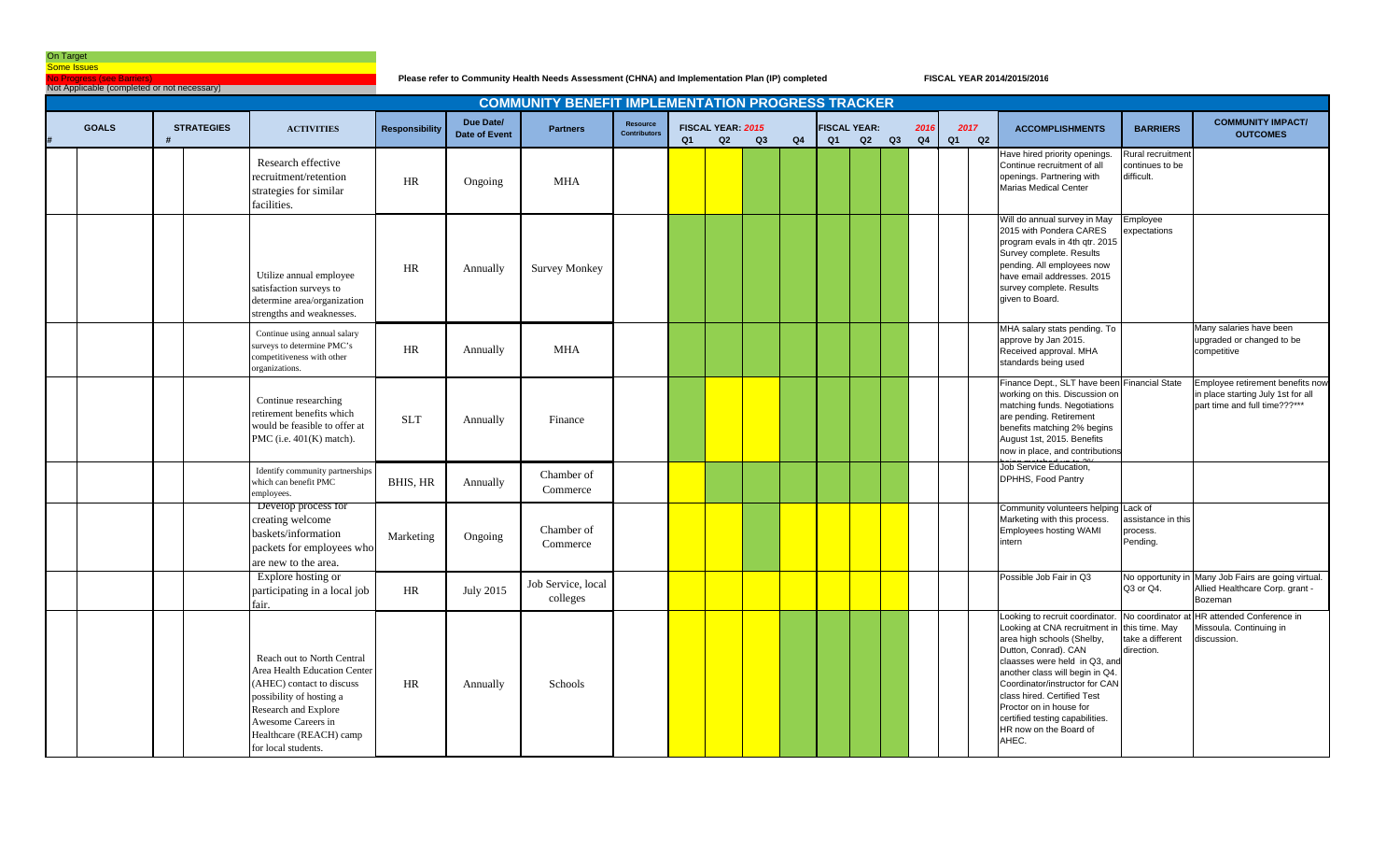No Progress (see Barriers)

**Please refer to Community Health Needs Assessment (CHNA) and Implementation Plan (IP) completed**

| Not Applicable (completed or not necessary) |                   |                                                                                                                                                                                                                     |                       |                                   |                                                          |                                        |    |                         |                |    |                           |    |    |            |            |    |                                                                                                                                                                                                                                                                                                                                                              |                                                                    |                                                                                                         |
|---------------------------------------------|-------------------|---------------------------------------------------------------------------------------------------------------------------------------------------------------------------------------------------------------------|-----------------------|-----------------------------------|----------------------------------------------------------|----------------------------------------|----|-------------------------|----------------|----|---------------------------|----|----|------------|------------|----|--------------------------------------------------------------------------------------------------------------------------------------------------------------------------------------------------------------------------------------------------------------------------------------------------------------------------------------------------------------|--------------------------------------------------------------------|---------------------------------------------------------------------------------------------------------|
|                                             |                   |                                                                                                                                                                                                                     |                       |                                   | <b>COMMUNITY BENEFIT IMPLEMENTATION PROGRESS TRACKER</b> |                                        |    |                         |                |    |                           |    |    |            |            |    |                                                                                                                                                                                                                                                                                                                                                              |                                                                    |                                                                                                         |
| <b>GOALS</b>                                | <b>STRATEGIES</b> | <b>ACTIVITIES</b>                                                                                                                                                                                                   | <b>Responsibility</b> | Due Date/<br><b>Date of Event</b> | <b>Partners</b>                                          | <b>Resource</b><br><b>Contributors</b> | Q1 | FISCAL YEAR: 2015<br>Q2 | Q <sub>3</sub> | Q4 | <b>FISCAL YEAR:</b><br>Q1 | Q2 | Q3 | 2016<br>Q4 | 2017<br>Q1 | Q2 | <b>ACCOMPLISHMENTS</b>                                                                                                                                                                                                                                                                                                                                       | <b>BARRIERS</b>                                                    | <b>COMMUNITY IMPACT/</b><br><b>OUTCOMES</b>                                                             |
|                                             |                   | Research effective<br>recruitment/retention<br>strategies for similar<br>facilities.                                                                                                                                | HR                    | Ongoing                           | <b>MHA</b>                                               |                                        |    |                         |                |    |                           |    |    |            |            |    | Have hired priority openings.<br>Continue recruitment of all<br>openings. Partnering with<br>Marias Medical Center                                                                                                                                                                                                                                           | Rural recruitment<br>continues to be<br>difficult.                 |                                                                                                         |
|                                             |                   | Utilize annual employee<br>satisfaction surveys to<br>determine area/organization<br>strengths and weaknesses.                                                                                                      | HR                    | Annually                          | <b>Survey Monkey</b>                                     |                                        |    |                         |                |    |                           |    |    |            |            |    | Will do annual survey in May<br>2015 with Pondera CARES<br>program evals in 4th gtr. 2015<br>Survey complete. Results<br>pending. All employees now<br>have email addresses. 2015<br>survey complete. Results<br>given to Board.                                                                                                                             | Employee<br>expectations                                           |                                                                                                         |
|                                             |                   | Continue using annual salary<br>surveys to determine PMC's<br>ompetitiveness with other<br>organizations.                                                                                                           | HR                    | Annually                          | <b>MHA</b>                                               |                                        |    |                         |                |    |                           |    |    |            |            |    | MHA salary stats pending. To<br>approve by Jan 2015.<br>Received approval. MHA<br>standards being used                                                                                                                                                                                                                                                       |                                                                    | Many salaries have been<br>upgraded or changed to be<br>competitive                                     |
|                                             |                   | Continue researching<br>retirement benefits which<br>would be feasible to offer at<br>PMC (i.e. 401(K) match).                                                                                                      | <b>SLT</b>            | Annually                          | Finance                                                  |                                        |    |                         |                |    |                           |    |    |            |            |    | Finance Dept., SLT have been Financial State<br>working on this. Discussion on<br>matching funds. Negotiations<br>are pending. Retirement<br>benefits matching 2% begins<br>August 1st, 2015. Benefits<br>now in place, and contributions                                                                                                                    |                                                                    | Employee retirement benefits now<br>in place starting July 1st for all<br>part time and full time???*** |
|                                             |                   | Identify community partnerships<br>which can benefit PMC<br>employees.                                                                                                                                              | <b>BHIS, HR</b>       | Annually                          | Chamber of<br>Commerce                                   |                                        |    |                         |                |    |                           |    |    |            |            |    | Job Service Education,<br>DPHHS, Food Pantry                                                                                                                                                                                                                                                                                                                 |                                                                    |                                                                                                         |
|                                             |                   | Develop process for<br>creating welcome<br>baskets/information<br>packets for employees who<br>are new to the area.                                                                                                 | Marketing             | Ongoing                           | Chamber of<br>Commerce                                   |                                        |    |                         |                |    |                           |    |    |            |            |    | Community volunteers helping Lack of<br>Marketing with this process.<br>Employees hosting WAMI<br>intern                                                                                                                                                                                                                                                     | assistance in this<br>process.<br>Pending.                         |                                                                                                         |
|                                             |                   | Explore hosting or<br>participating in a local job<br>air.                                                                                                                                                          | HR                    | <b>July 2015</b>                  | Job Service, local<br>colleges                           |                                        |    |                         |                |    |                           |    |    |            |            |    | Possible Job Fair in Q3                                                                                                                                                                                                                                                                                                                                      | No opportunity<br>Q3 or Q4.                                        | Many Job Fairs are going virtual.<br>Allied Healthcare Corp. grant -<br>Bozeman                         |
|                                             |                   | Reach out to North Central<br>Area Health Education Center<br>(AHEC) contact to discuss<br>possibility of hosting a<br>Research and Explore<br>Awesome Careers in<br>Healthcare (REACH) camp<br>for local students. | HR                    | Annually                          | Schools                                                  |                                        |    |                         |                |    |                           |    |    |            |            |    | Looking to recruit coordinator.<br>Looking at CNA recruitment in<br>area high schools (Shelby,<br>Dutton, Conrad). CAN<br>claasses were held in Q3, and<br>another class will begin in Q4.<br>Coordinator/instructor for CAN<br>class hired. Certified Test<br>Proctor on in house for<br>certified testing capabilities.<br>HR now on the Board of<br>AHEC. | No coordinator<br>this time. May<br>take a different<br>direction. | HR attended Conference in<br>Missoula. Continuing in<br>discussion.                                     |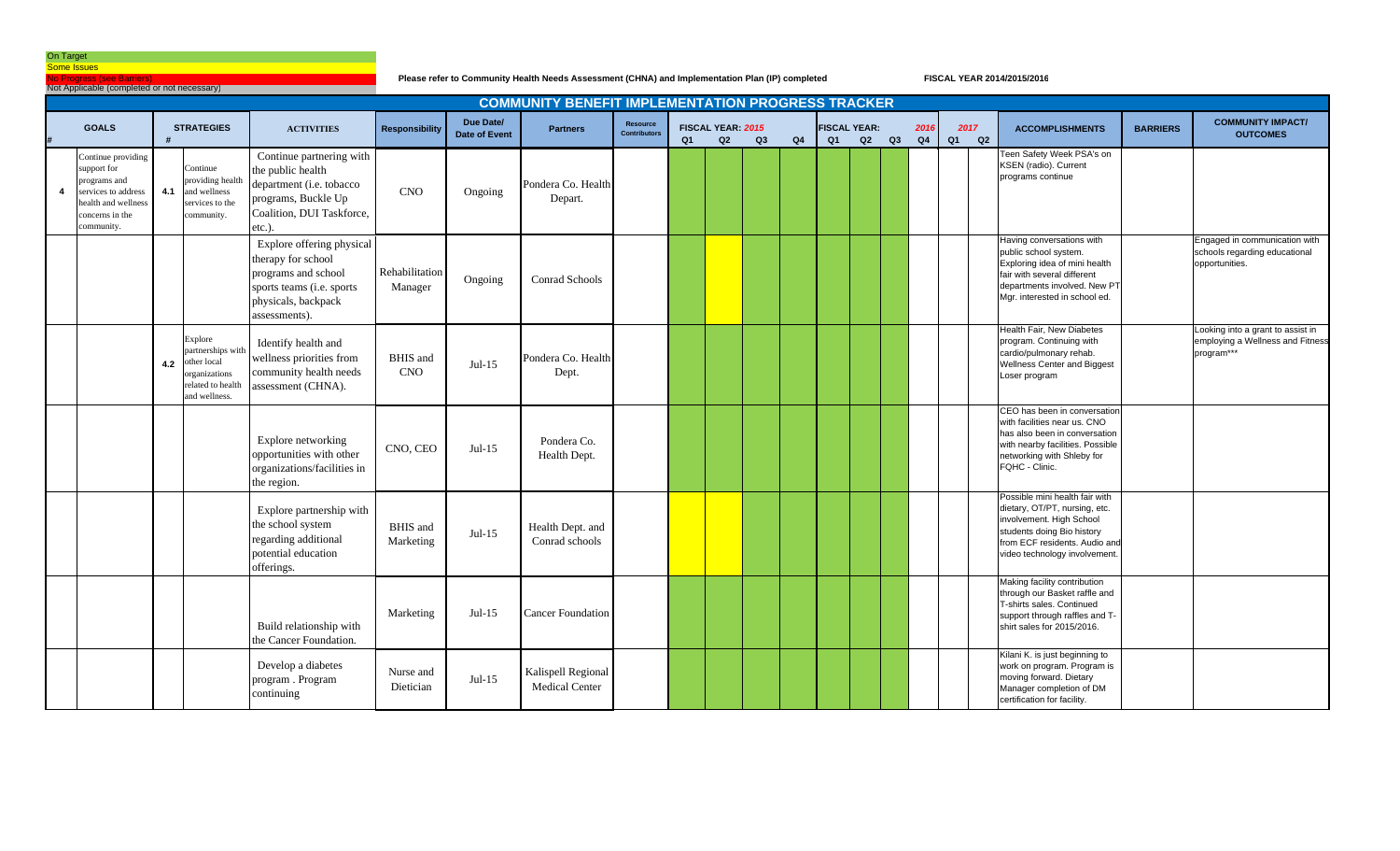Io Progress (see Barrie

Not Applicable (completed or not necessary)

**Please refer to Community Health Needs Assessment (CHNA) and Implementation Plan (IP) completed**

|   |                                                                                                                                  |     |                                                                                                          |                                                                                                                                             |                               |                            | <b>COMMUNITY BENEFIT IMPLEMENTATION PROGRESS TRACKER</b> |                                        |    |                         |    |    |                           |    |    |            |                  |                                                                                                                                                                                             |                 |                                                                                     |
|---|----------------------------------------------------------------------------------------------------------------------------------|-----|----------------------------------------------------------------------------------------------------------|---------------------------------------------------------------------------------------------------------------------------------------------|-------------------------------|----------------------------|----------------------------------------------------------|----------------------------------------|----|-------------------------|----|----|---------------------------|----|----|------------|------------------|---------------------------------------------------------------------------------------------------------------------------------------------------------------------------------------------|-----------------|-------------------------------------------------------------------------------------|
|   | <b>GOALS</b>                                                                                                                     |     | <b>STRATEGIES</b>                                                                                        | <b>ACTIVITIES</b>                                                                                                                           | Responsibility                | Due Date/<br>Date of Event | <b>Partners</b>                                          | <b>Resource</b><br><b>Contributors</b> | Q1 | FISCAL YEAR: 2015<br>Q2 | Q3 | Q4 | <b>FISCAL YEAR:</b><br>Q1 | Q2 | Q3 | 2016<br>Q4 | 2017<br>Q2<br>Q1 | <b>ACCOMPLISHMENTS</b>                                                                                                                                                                      | <b>BARRIERS</b> | <b>COMMUNITY IMPACT/</b><br><b>OUTCOMES</b>                                         |
| 4 | Continue providing<br>support for<br>programs and<br>services to address<br>health and wellness<br>concerns in the<br>community. | 4.1 | Continue<br>providing health<br>and wellness<br>services to the<br>community.                            | Continue partnering with<br>the public health<br>department (i.e. tobacco<br>programs, Buckle Up<br>Coalition, DUI Taskforce,<br>$etc.$ ).  | <b>CNO</b>                    | Ongoing                    | Pondera Co. Health<br>Depart.                            |                                        |    |                         |    |    |                           |    |    |            |                  | Teen Safety Week PSA's on<br>KSEN (radio). Current<br>programs continue                                                                                                                     |                 |                                                                                     |
|   |                                                                                                                                  |     |                                                                                                          | Explore offering physical<br>therapy for school<br>programs and school<br>sports teams (i.e. sports<br>physicals, backpack<br>assessments). | Rehabilitation<br>Manager     | Ongoing                    | Conrad Schools                                           |                                        |    |                         |    |    |                           |    |    |            |                  | Having conversations with<br>public school system.<br>Exploring idea of mini health<br>fair with several different<br>departments involved. New PT<br>Mgr. interested in school ed.         |                 | Engaged in communication with<br>schools regarding educational<br>opportunities.    |
|   |                                                                                                                                  | 4.2 | Explore<br>partnerships with<br>other local<br><i>rganizations</i><br>related to health<br>and wellness. | Identify health and<br>wellness priorities from<br>community health needs<br>assessment (CHNA).                                             | <b>BHIS</b> and<br><b>CNO</b> | $Jul-15$                   | Pondera Co. Health<br>Dept.                              |                                        |    |                         |    |    |                           |    |    |            |                  | Health Fair, New Diabetes<br>program. Continuing with<br>cardio/pulmonary rehab.<br>Wellness Center and Biggest<br>Loser program                                                            |                 | Looking into a grant to assist in<br>employing a Wellness and Fitness<br>program*** |
|   |                                                                                                                                  |     |                                                                                                          | Explore networking<br>opportunities with other<br>organizations/facilities in<br>the region.                                                | CNO, CEO                      | $Jul-15$                   | Pondera Co.<br>Health Dept.                              |                                        |    |                         |    |    |                           |    |    |            |                  | CEO has been in conversation<br>with facilities near us. CNO<br>has also been in conversation<br>with nearby facilities. Possible<br>networking with Shleby for<br>FQHC - Clinic.           |                 |                                                                                     |
|   |                                                                                                                                  |     |                                                                                                          | Explore partnership with<br>the school system<br>regarding additional<br>potential education<br>offerings.                                  | <b>BHIS</b> and<br>Marketing  | $Jul-15$                   | Health Dept. and<br>Conrad schools                       |                                        |    |                         |    |    |                           |    |    |            |                  | Possible mini health fair with<br>dietary, OT/PT, nursing, etc.<br>involvement. High School<br>students doing Bio history<br>from ECF residents. Audio and<br>video technology involvement. |                 |                                                                                     |
|   |                                                                                                                                  |     |                                                                                                          | Build relationship with<br>the Cancer Foundation.                                                                                           | Marketing                     | $Jul-15$                   | <b>Cancer Foundation</b>                                 |                                        |    |                         |    |    |                           |    |    |            |                  | Making facility contribution<br>through our Basket raffle and<br>T-shirts sales. Continued<br>support through raffles and T-<br>shirt sales for 2015/2016.                                  |                 |                                                                                     |
|   |                                                                                                                                  |     |                                                                                                          | Develop a diabetes<br>program. Program<br>continuing                                                                                        | Nurse and<br>Dietician        | $Jul-15$                   | Kalispell Regional<br>Medical Center                     |                                        |    |                         |    |    |                           |    |    |            |                  | Kilani K. is just beginning to<br>work on program. Program is<br>moving forward. Dietary<br>Manager completion of DM<br>certification for facility.                                         |                 |                                                                                     |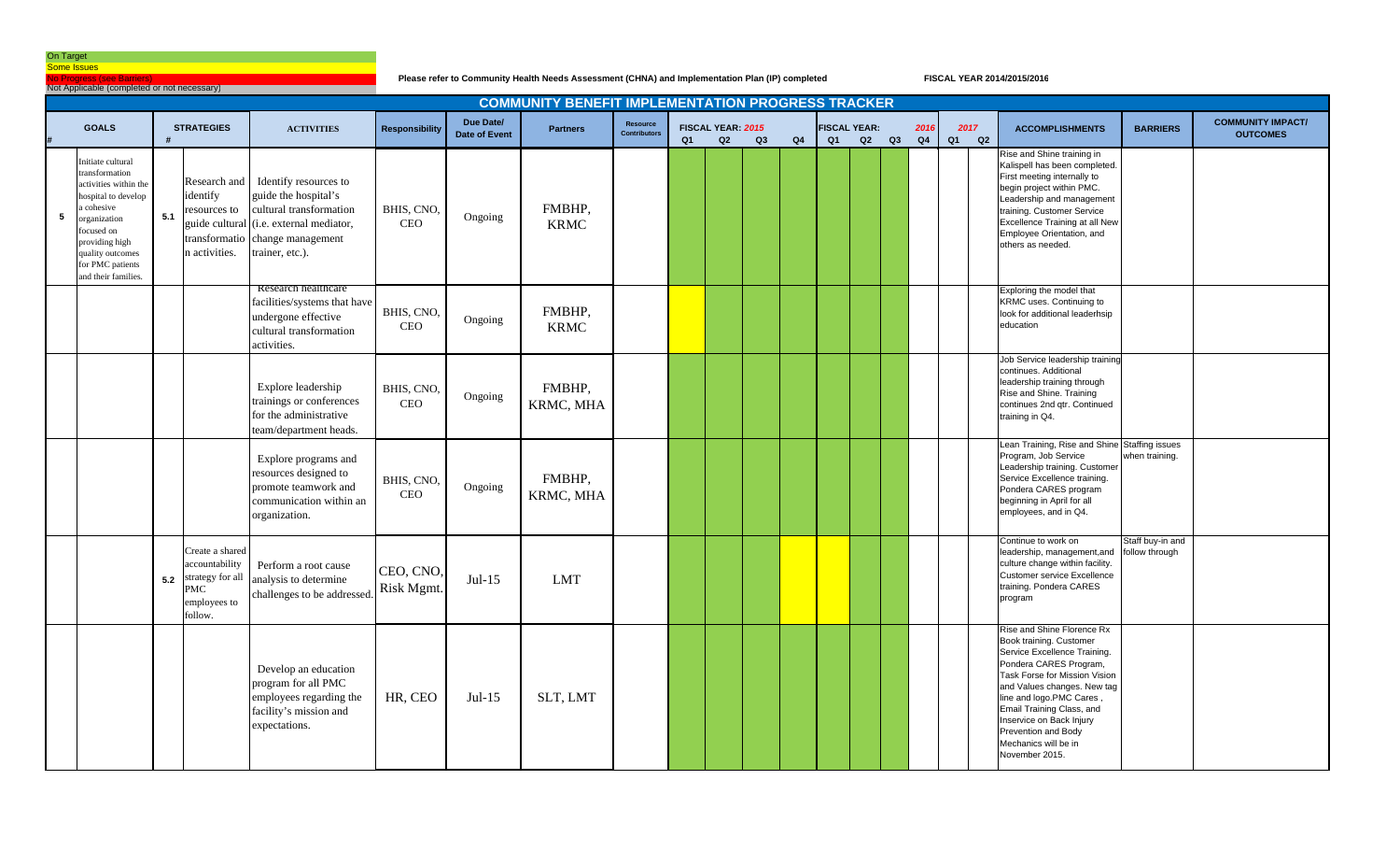No Progress (see Barriers)

Not Applicable (completed or not necessary)

**Please refer to Community Health Needs Assessment (CHNA) and Implementation Plan (IP) completed**

|   |                                                                                                                                                                                                                |     |                                                                                       |                                                                                                                                                                          |                          |                                   | <b>COMMUNITY BENEFIT IMPLEMENTATION PROGRESS TRACKER</b> |                                 |                |                         |    |    |    |                           |    |            |    |            |                                                                                                                                                                                                                                                                                                                                       |                                    |                                             |
|---|----------------------------------------------------------------------------------------------------------------------------------------------------------------------------------------------------------------|-----|---------------------------------------------------------------------------------------|--------------------------------------------------------------------------------------------------------------------------------------------------------------------------|--------------------------|-----------------------------------|----------------------------------------------------------|---------------------------------|----------------|-------------------------|----|----|----|---------------------------|----|------------|----|------------|---------------------------------------------------------------------------------------------------------------------------------------------------------------------------------------------------------------------------------------------------------------------------------------------------------------------------------------|------------------------------------|---------------------------------------------|
|   | <b>GOALS</b>                                                                                                                                                                                                   |     | <b>STRATEGIES</b>                                                                     | <b>ACTIVITIES</b>                                                                                                                                                        | Responsibility           | Due Date/<br><b>Date of Event</b> | <b>Partners</b>                                          | Resource<br><b>Contributors</b> | Q <sub>1</sub> | FISCAL YEAR: 2015<br>Q2 | Q3 | Q4 | Q1 | <b>FISCAL YEAR:</b><br>Q2 | Q3 | 2016<br>Q4 | Q1 | 2017<br>Q2 | <b>ACCOMPLISHMENTS</b>                                                                                                                                                                                                                                                                                                                | <b>BARRIERS</b>                    | <b>COMMUNITY IMPACT/</b><br><b>OUTCOMES</b> |
| 5 | Initiate cultural<br>transformation<br>activities within the<br>hospital to develop<br>cohesive<br>organization<br>focused on<br>providing high<br>quality outcomes<br>for PMC patients<br>and their families. | 5.1 | Research and<br>identify<br>esources to<br>n activities.                              | Identify resources to<br>guide the hospital's<br>cultural transformation<br>guide cultural (i.e. external mediator,<br>ransformatio change management<br>trainer, etc.). | BHIS, CNO,<br><b>CEO</b> | Ongoing                           | FMBHP.<br><b>KRMC</b>                                    |                                 |                |                         |    |    |    |                           |    |            |    |            | Rise and Shine training in<br>Kalispell has been completed.<br>First meeting internally to<br>begin project within PMC.<br>Leadership and management<br>training. Customer Service<br><b>Excellence Training at all New</b><br>Employee Orientation, and<br>others as needed.                                                         |                                    |                                             |
|   |                                                                                                                                                                                                                |     |                                                                                       | Research healthcare<br>facilities/systems that have<br>undergone effective<br>cultural transformation<br>activities.                                                     | BHIS, CNO<br><b>CEO</b>  | Ongoing                           | FMBHP,<br><b>KRMC</b>                                    |                                 |                |                         |    |    |    |                           |    |            |    |            | Exploring the model that<br>KRMC uses. Continuing to<br>look for additional leaderhsip<br>education                                                                                                                                                                                                                                   |                                    |                                             |
|   |                                                                                                                                                                                                                |     |                                                                                       | Explore leadership<br>trainings or conferences<br>for the administrative<br>team/department heads.                                                                       | BHIS, CNO,<br><b>CEO</b> | Ongoing                           | FMBHP.<br>KRMC, MHA                                      |                                 |                |                         |    |    |    |                           |    |            |    |            | Job Service leadership training<br>continues. Additional<br>leadership training through<br>Rise and Shine. Training<br>continues 2nd gtr. Continued<br>training in Q4.                                                                                                                                                                |                                    |                                             |
|   |                                                                                                                                                                                                                |     |                                                                                       | Explore programs and<br>resources designed to<br>promote teamwork and<br>communication within an<br>organization.                                                        | BHIS, CNO,<br><b>CEO</b> | Ongoing                           | FMBHP.<br>KRMC, MHA                                      |                                 |                |                         |    |    |    |                           |    |            |    |            | Lean Training, Rise and Shine Staffing issues<br>Program, Job Service<br>Leadership training. Customer<br>Service Excellence training.<br>Pondera CARES program<br>beginning in April for all<br>employees, and in Q4.                                                                                                                | when training.                     |                                             |
|   |                                                                                                                                                                                                                | 5.2 | Create a shared<br>accountability<br>trategy for all<br>MС<br>employees to<br>follow. | Perform a root cause<br>analysis to determine<br>challenges to be addressed                                                                                              | CEO, CNO,<br>Risk Mgmt.  | $Jul-15$                          | <b>LMT</b>                                               |                                 |                |                         |    |    |    |                           |    |            |    |            | Continue to work on<br>leadership, management, and<br>culture change within facility.<br><b>Customer service Excellence</b><br>training. Pondera CARES<br>program                                                                                                                                                                     | Staff buy-in and<br>follow through |                                             |
|   |                                                                                                                                                                                                                |     |                                                                                       | Develop an education<br>program for all PMC<br>employees regarding the<br>facility's mission and<br>expectations.                                                        | HR, CEO                  | $Jul-15$                          | SLT, LMT                                                 |                                 |                |                         |    |    |    |                           |    |            |    |            | Rise and Shine Florence Rx<br>Book training. Customer<br>Service Excellence Training.<br>Pondera CARES Program,<br>Task Forse for Mission Vision<br>and Values changes. New tag<br>line and logo.PMC Cares,<br>Email Training Class, and<br>Inservice on Back Injury<br>Prevention and Body<br>Mechanics will be in<br>November 2015. |                                    |                                             |